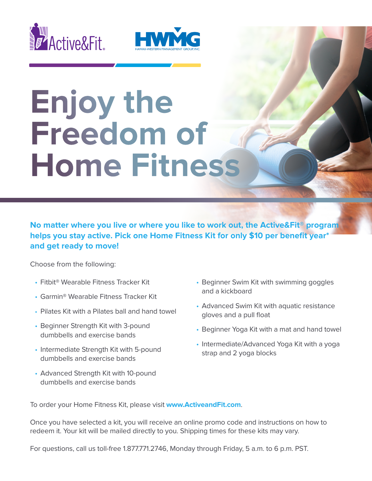



## **Enjoy the Freedom of Home Fitness**

**No matter where you live or where you like to work out, the Active&Fit® program helps you stay active. Pick one Home Fitness Kit for only \$10 per benefit year\* and get ready to move!**

Choose from the following:

- Fitbit® Wearable Fitness Tracker Kit
- Garmin® Wearable Fitness Tracker Kit
- Pilates Kit with a Pilates ball and hand towel
- Beginner Strength Kit with 3-pound dumbbells and exercise bands
- Intermediate Strength Kit with 5-pound dumbbells and exercise bands
- Advanced Strength Kit with 10-pound dumbbells and exercise bands
- Beginner Swim Kit with swimming goggles and a kickboard
- Advanced Swim Kit with aquatic resistance gloves and a pull float
- Beginner Yoga Kit with a mat and hand towel
- Intermediate/Advanced Yoga Kit with a yoga strap and 2 yoga blocks

To order your Home Fitness Kit, please visit **www.ActiveandFit.com**.

Once you have selected a kit, you will receive an online promo code and instructions on how to redeem it. Your kit will be mailed directly to you. Shipping times for these kits may vary.

For questions, call us toll-free 1.877.771.2746, Monday through Friday, 5 a.m. to 6 p.m. PST.